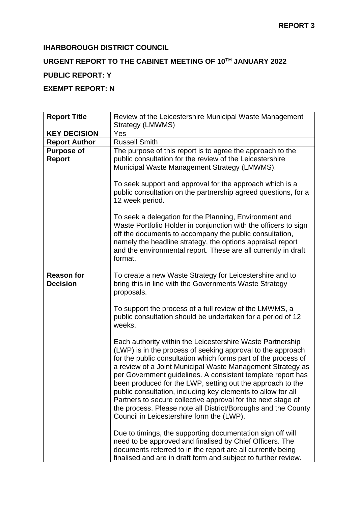## **IHARBOROUGH DISTRICT COUNCIL**

# **URGENT REPORT TO THE CABINET MEETING OF 10TH JANUARY 2022**

## **PUBLIC REPORT: Y**

## **EXEMPT REPORT: N**

| <b>Report Title</b>  | Review of the Leicestershire Municipal Waste Management               |  |  |  |  |  |  |  |
|----------------------|-----------------------------------------------------------------------|--|--|--|--|--|--|--|
|                      | Strategy (LMWMS)                                                      |  |  |  |  |  |  |  |
| <b>KEY DECISION</b>  | Yes                                                                   |  |  |  |  |  |  |  |
| <b>Report Author</b> | <b>Russell Smith</b>                                                  |  |  |  |  |  |  |  |
| <b>Purpose of</b>    | The purpose of this report is to agree the approach to the            |  |  |  |  |  |  |  |
| Report               | public consultation for the review of the Leicestershire              |  |  |  |  |  |  |  |
|                      | Municipal Waste Management Strategy (LMWMS).                          |  |  |  |  |  |  |  |
|                      |                                                                       |  |  |  |  |  |  |  |
|                      | To seek support and approval for the approach which is a              |  |  |  |  |  |  |  |
|                      | public consultation on the partnership agreed questions, for a        |  |  |  |  |  |  |  |
|                      | 12 week period.                                                       |  |  |  |  |  |  |  |
|                      |                                                                       |  |  |  |  |  |  |  |
|                      | To seek a delegation for the Planning, Environment and                |  |  |  |  |  |  |  |
|                      | Waste Portfolio Holder in conjunction with the officers to sign       |  |  |  |  |  |  |  |
|                      | off the documents to accompany the public consultation,               |  |  |  |  |  |  |  |
|                      | namely the headline strategy, the options appraisal report            |  |  |  |  |  |  |  |
|                      | and the environmental report. These are all currently in draft        |  |  |  |  |  |  |  |
|                      | format.                                                               |  |  |  |  |  |  |  |
|                      |                                                                       |  |  |  |  |  |  |  |
| <b>Reason for</b>    | To create a new Waste Strategy for Leicestershire and to              |  |  |  |  |  |  |  |
| <b>Decision</b>      | bring this in line with the Governments Waste Strategy                |  |  |  |  |  |  |  |
|                      | proposals.                                                            |  |  |  |  |  |  |  |
|                      |                                                                       |  |  |  |  |  |  |  |
|                      | To support the process of a full review of the LMWMS, a               |  |  |  |  |  |  |  |
|                      | public consultation should be undertaken for a period of 12<br>weeks. |  |  |  |  |  |  |  |
|                      |                                                                       |  |  |  |  |  |  |  |
|                      | Each authority within the Leicestershire Waste Partnership            |  |  |  |  |  |  |  |
|                      | (LWP) is in the process of seeking approval to the approach           |  |  |  |  |  |  |  |
|                      | for the public consultation which forms part of the process of        |  |  |  |  |  |  |  |
|                      | a review of a Joint Municipal Waste Management Strategy as            |  |  |  |  |  |  |  |
|                      | per Government guidelines. A consistent template report has           |  |  |  |  |  |  |  |
|                      | been produced for the LWP, setting out the approach to the            |  |  |  |  |  |  |  |
|                      | public consultation, including key elements to allow for all          |  |  |  |  |  |  |  |
|                      | Partners to secure collective approval for the next stage of          |  |  |  |  |  |  |  |
|                      | the process. Please note all District/Boroughs and the County         |  |  |  |  |  |  |  |
|                      | Council in Leicestershire form the (LWP).                             |  |  |  |  |  |  |  |
|                      |                                                                       |  |  |  |  |  |  |  |
|                      | Due to timings, the supporting documentation sign off will            |  |  |  |  |  |  |  |
|                      | need to be approved and finalised by Chief Officers. The              |  |  |  |  |  |  |  |
|                      | documents referred to in the report are all currently being           |  |  |  |  |  |  |  |
|                      | finalised and are in draft form and subject to further review.        |  |  |  |  |  |  |  |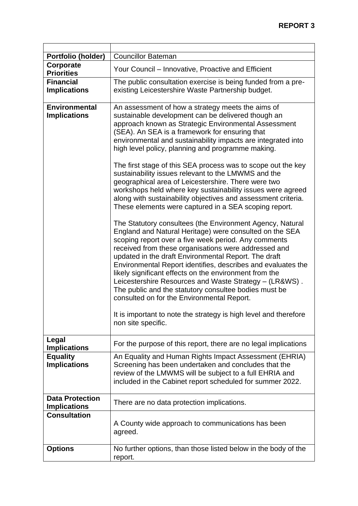| Portfolio (holder)                            | <b>Councillor Bateman</b>                                                                                                                                                                                                                                                                                                                                                                                                                                                                                                                                                                                                                                                                                                                                                                                                                                                                                                                                                                                                                                                                                                                                                                                                                                                                                                                                                                         |  |  |  |  |  |
|-----------------------------------------------|---------------------------------------------------------------------------------------------------------------------------------------------------------------------------------------------------------------------------------------------------------------------------------------------------------------------------------------------------------------------------------------------------------------------------------------------------------------------------------------------------------------------------------------------------------------------------------------------------------------------------------------------------------------------------------------------------------------------------------------------------------------------------------------------------------------------------------------------------------------------------------------------------------------------------------------------------------------------------------------------------------------------------------------------------------------------------------------------------------------------------------------------------------------------------------------------------------------------------------------------------------------------------------------------------------------------------------------------------------------------------------------------------|--|--|--|--|--|
| Corporate<br><b>Priorities</b>                | Your Council – Innovative, Proactive and Efficient                                                                                                                                                                                                                                                                                                                                                                                                                                                                                                                                                                                                                                                                                                                                                                                                                                                                                                                                                                                                                                                                                                                                                                                                                                                                                                                                                |  |  |  |  |  |
| <b>Financial</b><br><b>Implications</b>       | The public consultation exercise is being funded from a pre-<br>existing Leicestershire Waste Partnership budget.                                                                                                                                                                                                                                                                                                                                                                                                                                                                                                                                                                                                                                                                                                                                                                                                                                                                                                                                                                                                                                                                                                                                                                                                                                                                                 |  |  |  |  |  |
| <b>Environmental</b><br><b>Implications</b>   | An assessment of how a strategy meets the aims of<br>sustainable development can be delivered though an<br>approach known as Strategic Environmental Assessment<br>(SEA). An SEA is a framework for ensuring that<br>environmental and sustainability impacts are integrated into<br>high level policy, planning and programme making.<br>The first stage of this SEA process was to scope out the key<br>sustainability issues relevant to the LMWMS and the<br>geographical area of Leicestershire. There were two<br>workshops held where key sustainability issues were agreed<br>along with sustainability objectives and assessment criteria.<br>These elements were captured in a SEA scoping report.<br>The Statutory consultees (the Environment Agency, Natural<br>England and Natural Heritage) were consulted on the SEA<br>scoping report over a five week period. Any comments<br>received from these organisations were addressed and<br>updated in the draft Environmental Report. The draft<br>Environmental Report identifies, describes and evaluates the<br>likely significant effects on the environment from the<br>Leicestershire Resources and Waste Strategy - (LR&WS).<br>The public and the statutory consultee bodies must be<br>consulted on for the Environmental Report.<br>It is important to note the strategy is high level and therefore<br>non site specific. |  |  |  |  |  |
| Legal                                         | For the purpose of this report, there are no legal implications                                                                                                                                                                                                                                                                                                                                                                                                                                                                                                                                                                                                                                                                                                                                                                                                                                                                                                                                                                                                                                                                                                                                                                                                                                                                                                                                   |  |  |  |  |  |
| <b>Implications</b><br><b>Equality</b>        | An Equality and Human Rights Impact Assessment (EHRIA)                                                                                                                                                                                                                                                                                                                                                                                                                                                                                                                                                                                                                                                                                                                                                                                                                                                                                                                                                                                                                                                                                                                                                                                                                                                                                                                                            |  |  |  |  |  |
| <b>Implications</b>                           | Screening has been undertaken and concludes that the<br>review of the LMWMS will be subject to a full EHRIA and<br>included in the Cabinet report scheduled for summer 2022.                                                                                                                                                                                                                                                                                                                                                                                                                                                                                                                                                                                                                                                                                                                                                                                                                                                                                                                                                                                                                                                                                                                                                                                                                      |  |  |  |  |  |
| <b>Data Protection</b><br><b>Implications</b> | There are no data protection implications.                                                                                                                                                                                                                                                                                                                                                                                                                                                                                                                                                                                                                                                                                                                                                                                                                                                                                                                                                                                                                                                                                                                                                                                                                                                                                                                                                        |  |  |  |  |  |
| <b>Consultation</b>                           | A County wide approach to communications has been<br>agreed.                                                                                                                                                                                                                                                                                                                                                                                                                                                                                                                                                                                                                                                                                                                                                                                                                                                                                                                                                                                                                                                                                                                                                                                                                                                                                                                                      |  |  |  |  |  |
| <b>Options</b>                                | No further options, than those listed below in the body of the<br>report.                                                                                                                                                                                                                                                                                                                                                                                                                                                                                                                                                                                                                                                                                                                                                                                                                                                                                                                                                                                                                                                                                                                                                                                                                                                                                                                         |  |  |  |  |  |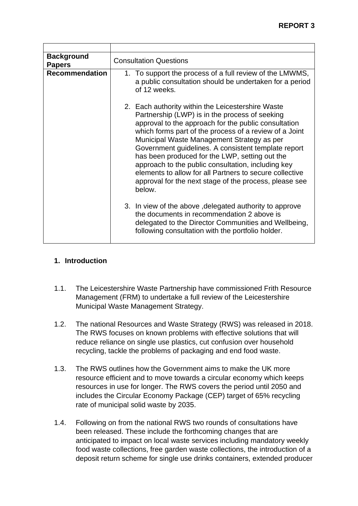| <b>Background</b><br><b>Papers</b> | <b>Consultation Questions</b>                                                                                                                                                                                                                                                                                                                                                                                                                                                                                                                                     |  |  |  |  |  |
|------------------------------------|-------------------------------------------------------------------------------------------------------------------------------------------------------------------------------------------------------------------------------------------------------------------------------------------------------------------------------------------------------------------------------------------------------------------------------------------------------------------------------------------------------------------------------------------------------------------|--|--|--|--|--|
| <b>Recommendation</b>              | 1. To support the process of a full review of the LMWMS,<br>a public consultation should be undertaken for a period<br>of 12 weeks.                                                                                                                                                                                                                                                                                                                                                                                                                               |  |  |  |  |  |
|                                    | 2. Each authority within the Leicestershire Waste<br>Partnership (LWP) is in the process of seeking<br>approval to the approach for the public consultation<br>which forms part of the process of a review of a Joint<br>Municipal Waste Management Strategy as per<br>Government guidelines. A consistent template report<br>has been produced for the LWP, setting out the<br>approach to the public consultation, including key<br>elements to allow for all Partners to secure collective<br>approval for the next stage of the process, please see<br>below. |  |  |  |  |  |
|                                    | 3. In view of the above, delegated authority to approve<br>the documents in recommendation 2 above is<br>delegated to the Director Communities and Wellbeing,<br>following consultation with the portfolio holder.                                                                                                                                                                                                                                                                                                                                                |  |  |  |  |  |

## **1. Introduction**

- 1.1. The Leicestershire Waste Partnership have commissioned Frith Resource Management (FRM) to undertake a full review of the Leicestershire Municipal Waste Management Strategy.
- 1.2. The national Resources and Waste Strategy (RWS) was released in 2018. The RWS focuses on known problems with effective solutions that will reduce reliance on single use plastics, cut confusion over household recycling, tackle the problems of packaging and end food waste.
- 1.3. The RWS outlines how the Government aims to make the UK more resource efficient and to move towards a circular economy which keeps resources in use for longer. The RWS covers the period until 2050 and includes the Circular Economy Package (CEP) target of 65% recycling rate of municipal solid waste by 2035.
- 1.4. Following on from the national RWS two rounds of consultations have been released. These include the forthcoming changes that are anticipated to impact on local waste services including mandatory weekly food waste collections, free garden waste collections, the introduction of a deposit return scheme for single use drinks containers, extended producer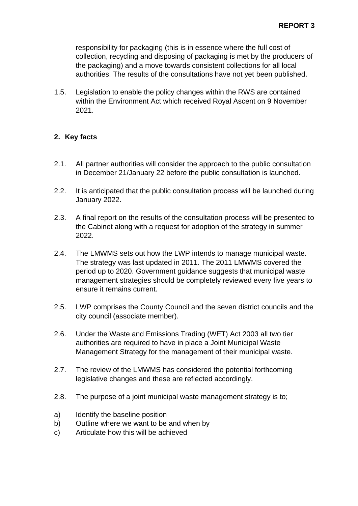responsibility for packaging (this is in essence where the full cost of collection, recycling and disposing of packaging is met by the producers of the packaging) and a move towards consistent collections for all local authorities. The results of the consultations have not yet been published.

1.5. Legislation to enable the policy changes within the RWS are contained within the Environment Act which received Royal Ascent on 9 November 2021.

## **2. Key facts**

- 2.1. All partner authorities will consider the approach to the public consultation in December 21/January 22 before the public consultation is launched.
- 2.2. It is anticipated that the public consultation process will be launched during January 2022.
- 2.3. A final report on the results of the consultation process will be presented to the Cabinet along with a request for adoption of the strategy in summer 2022.
- 2.4. The LMWMS sets out how the LWP intends to manage municipal waste. The strategy was last updated in 2011. The 2011 LMWMS covered the period up to 2020. Government guidance suggests that municipal waste management strategies should be completely reviewed every five years to ensure it remains current.
- 2.5. LWP comprises the County Council and the seven district councils and the city council (associate member).
- 2.6. Under the Waste and Emissions Trading (WET) Act 2003 all two tier authorities are required to have in place a Joint Municipal Waste Management Strategy for the management of their municipal waste.
- 2.7. The review of the LMWMS has considered the potential forthcoming legislative changes and these are reflected accordingly.
- 2.8. The purpose of a joint municipal waste management strategy is to;
- a) Identify the baseline position
- b) Outline where we want to be and when by
- c) Articulate how this will be achieved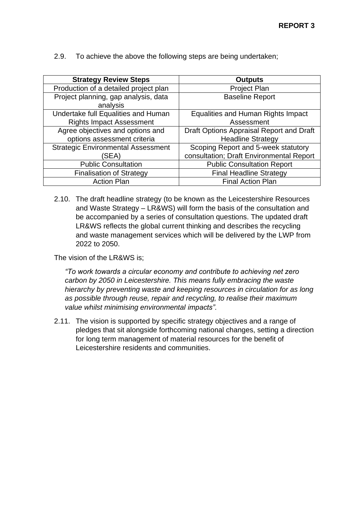2.9. To achieve the above the following steps are being undertaken;

| <b>Strategy Review Steps</b>                     | <b>Outputs</b>                           |
|--------------------------------------------------|------------------------------------------|
| Production of a detailed project plan            | <b>Project Plan</b>                      |
| Project planning, gap analysis, data<br>analysis | <b>Baseline Report</b>                   |
| Undertake full Equalities and Human              | Equalities and Human Rights Impact       |
| <b>Rights Impact Assessment</b>                  | Assessment                               |
| Agree objectives and options and                 | Draft Options Appraisal Report and Draft |
| options assessment criteria                      | <b>Headline Strategy</b>                 |
| <b>Strategic Environmental Assessment</b>        | Scoping Report and 5-week statutory      |
| (SEA)                                            | consultation; Draft Environmental Report |
| <b>Public Consultation</b>                       | <b>Public Consultation Report</b>        |
| <b>Finalisation of Strategy</b>                  | <b>Final Headline Strategy</b>           |
| <b>Action Plan</b>                               | <b>Final Action Plan</b>                 |

2.10. The draft headline strategy (to be known as the Leicestershire Resources and Waste Strategy – LR&WS) will form the basis of the consultation and be accompanied by a series of consultation questions. The updated draft LR&WS reflects the global current thinking and describes the recycling and waste management services which will be delivered by the LWP from 2022 to 2050.

The vision of the LR&WS is;

*"To work towards a circular economy and contribute to achieving net zero carbon by 2050 in Leicestershire. This means fully embracing the waste hierarchy by preventing waste and keeping resources in circulation for as long as possible through reuse, repair and recycling, to realise their maximum value whilst minimising environmental impacts".* 

2.11. The vision is supported by specific strategy objectives and a range of pledges that sit alongside forthcoming national changes, setting a direction for long term management of material resources for the benefit of Leicestershire residents and communities.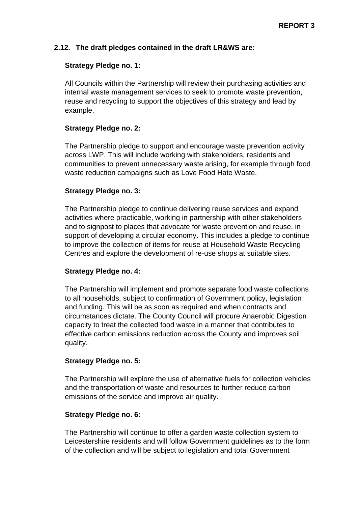## **2.12. The draft pledges contained in the draft LR&WS are:**

#### **Strategy Pledge no. 1:**

All Councils within the Partnership will review their purchasing activities and internal waste management services to seek to promote waste prevention, reuse and recycling to support the objectives of this strategy and lead by example.

#### **Strategy Pledge no. 2:**

The Partnership pledge to support and encourage waste prevention activity across LWP. This will include working with stakeholders, residents and communities to prevent unnecessary waste arising, for example through food waste reduction campaigns such as Love Food Hate Waste.

#### **Strategy Pledge no. 3:**

The Partnership pledge to continue delivering reuse services and expand activities where practicable, working in partnership with other stakeholders and to signpost to places that advocate for waste prevention and reuse, in support of developing a circular economy. This includes a pledge to continue to improve the collection of items for reuse at Household Waste Recycling Centres and explore the development of re-use shops at suitable sites.

## **Strategy Pledge no. 4:**

The Partnership will implement and promote separate food waste collections to all households, subject to confirmation of Government policy, legislation and funding. This will be as soon as required and when contracts and circumstances dictate. The County Council will procure Anaerobic Digestion capacity to treat the collected food waste in a manner that contributes to effective carbon emissions reduction across the County and improves soil quality.

#### **Strategy Pledge no. 5:**

The Partnership will explore the use of alternative fuels for collection vehicles and the transportation of waste and resources to further reduce carbon emissions of the service and improve air quality.

#### **Strategy Pledge no. 6:**

The Partnership will continue to offer a garden waste collection system to Leicestershire residents and will follow Government guidelines as to the form of the collection and will be subject to legislation and total Government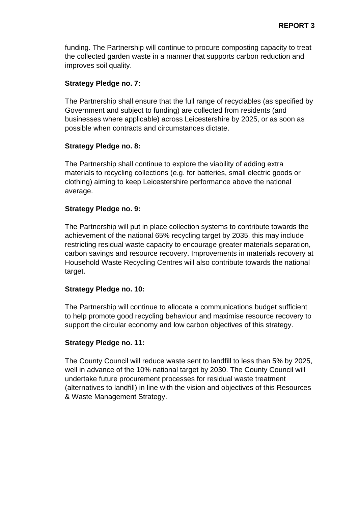funding. The Partnership will continue to procure composting capacity to treat the collected garden waste in a manner that supports carbon reduction and improves soil quality.

## **Strategy Pledge no. 7:**

The Partnership shall ensure that the full range of recyclables (as specified by Government and subject to funding) are collected from residents (and businesses where applicable) across Leicestershire by 2025, or as soon as possible when contracts and circumstances dictate.

#### **Strategy Pledge no. 8:**

The Partnership shall continue to explore the viability of adding extra materials to recycling collections (e.g. for batteries, small electric goods or clothing) aiming to keep Leicestershire performance above the national average.

#### **Strategy Pledge no. 9:**

The Partnership will put in place collection systems to contribute towards the achievement of the national 65% recycling target by 2035, this may include restricting residual waste capacity to encourage greater materials separation, carbon savings and resource recovery. Improvements in materials recovery at Household Waste Recycling Centres will also contribute towards the national target.

#### **Strategy Pledge no. 10:**

The Partnership will continue to allocate a communications budget sufficient to help promote good recycling behaviour and maximise resource recovery to support the circular economy and low carbon objectives of this strategy.

#### **Strategy Pledge no. 11:**

The County Council will reduce waste sent to landfill to less than 5% by 2025, well in advance of the 10% national target by 2030. The County Council will undertake future procurement processes for residual waste treatment (alternatives to landfill) in line with the vision and objectives of this Resources & Waste Management Strategy.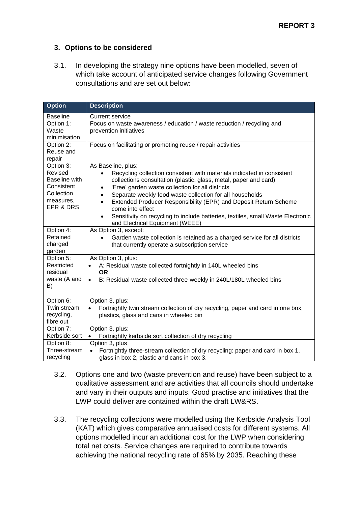## **3. Options to be considered**

3.1. In developing the strategy nine options have been modelled, seven of which take account of anticipated service changes following Government consultations and are set out below:

| <b>Option</b>                                                                               | <b>Description</b>                                                                                                                                                                                                                                                                                                                                                                                                                                                                                                                                 |
|---------------------------------------------------------------------------------------------|----------------------------------------------------------------------------------------------------------------------------------------------------------------------------------------------------------------------------------------------------------------------------------------------------------------------------------------------------------------------------------------------------------------------------------------------------------------------------------------------------------------------------------------------------|
| <b>Baseline</b>                                                                             | <b>Current service</b>                                                                                                                                                                                                                                                                                                                                                                                                                                                                                                                             |
| Option 1:<br>Waste<br>minimisation                                                          | Focus on waste awareness / education / waste reduction / recycling and<br>prevention initiatives                                                                                                                                                                                                                                                                                                                                                                                                                                                   |
| Option 2:<br>Reuse and<br>repair                                                            | Focus on facilitating or promoting reuse / repair activities                                                                                                                                                                                                                                                                                                                                                                                                                                                                                       |
| Option 3:<br>Revised<br>Baseline with<br>Consistent<br>Collection<br>measures,<br>EPR & DRS | As Baseline, plus:<br>Recycling collection consistent with materials indicated in consistent<br>collections consultation (plastic, glass, metal, paper and card)<br>'Free' garden waste collection for all districts<br>$\bullet$<br>Separate weekly food waste collection for all households<br>$\bullet$<br>Extended Producer Responsibility (EPR) and Deposit Return Scheme<br>$\bullet$<br>come into effect<br>Sensitivity on recycling to include batteries, textiles, small Waste Electronic<br>$\bullet$<br>and Electrical Equipment (WEEE) |
| Option 4:<br>Retained<br>charged<br>garden                                                  | As Option 3, except:<br>Garden waste collection is retained as a charged service for all districts<br>$\bullet$<br>that currently operate a subscription service                                                                                                                                                                                                                                                                                                                                                                                   |
| Option 5:<br>Restricted<br>residual<br>waste (A and<br>B)                                   | As Option 3, plus:<br>A: Residual waste collected fortnightly in 140L wheeled bins<br>$\bullet$<br><b>OR</b><br>B: Residual waste collected three-weekly in 240L/180L wheeled bins<br>$\bullet$                                                                                                                                                                                                                                                                                                                                                    |
| Option 6:<br>Twin stream<br>recycling,<br>fibre out                                         | Option 3, plus:<br>Fortnightly twin stream collection of dry recycling, paper and card in one box,<br>$\bullet$<br>plastics, glass and cans in wheeled bin                                                                                                                                                                                                                                                                                                                                                                                         |
| Option 7:<br>Kerbside sort                                                                  | Option 3, plus:<br>Fortnightly kerbside sort collection of dry recycling<br>$\bullet$                                                                                                                                                                                                                                                                                                                                                                                                                                                              |
| Option 8:<br>Three-stream<br>recycling                                                      | Option 3, plus<br>Fortnightly three-stream collection of dry recycling: paper and card in box 1,<br>glass in box 2, plastic and cans in box 3.                                                                                                                                                                                                                                                                                                                                                                                                     |

- 3.2. Options one and two (waste prevention and reuse) have been subject to a qualitative assessment and are activities that all councils should undertake and vary in their outputs and inputs. Good practise and initiatives that the LWP could deliver are contained within the draft LW&RS.
- 3.3. The recycling collections were modelled using the Kerbside Analysis Tool (KAT) which gives comparative annualised costs for different systems. All options modelled incur an additional cost for the LWP when considering total net costs. Service changes are required to contribute towards achieving the national recycling rate of 65% by 2035. Reaching these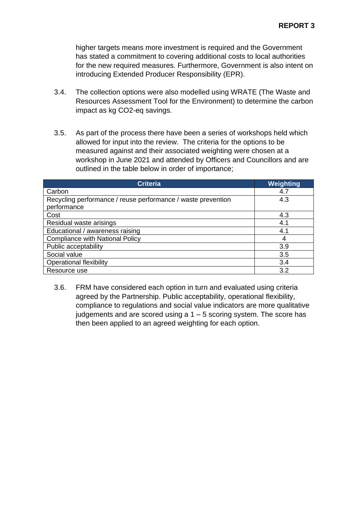higher targets means more investment is required and the Government has stated a commitment to covering additional costs to local authorities for the new required measures. Furthermore, Government is also intent on introducing Extended Producer Responsibility (EPR).

- 3.4. The collection options were also modelled using WRATE (The Waste and Resources Assessment Tool for the Environment) to determine the carbon impact as kg CO2-eq savings.
- 3.5. As part of the process there have been a series of workshops held which allowed for input into the review. The criteria for the options to be measured against and their associated weighting were chosen at a workshop in June 2021 and attended by Officers and Councillors and are outlined in the table below in order of importance;

| <b>Criteria</b>                                              | Weighting |
|--------------------------------------------------------------|-----------|
| Carbon                                                       | 4.7       |
| Recycling performance / reuse performance / waste prevention | 4.3       |
| performance                                                  |           |
| Cost                                                         | 4.3       |
| Residual waste arisings                                      | 4.1       |
| Educational / awareness raising                              | 4.1       |
| <b>Compliance with National Policy</b>                       | 4         |
| Public acceptability                                         | 3.9       |
| Social value                                                 | 3.5       |
| <b>Operational flexibility</b>                               | 3.4       |
| Resource use                                                 | 3.2       |

3.6. FRM have considered each option in turn and evaluated using criteria agreed by the Partnership. Public acceptability, operational flexibility, compliance to regulations and social value indicators are more qualitative judgements and are scored using a  $1 - 5$  scoring system. The score has then been applied to an agreed weighting for each option.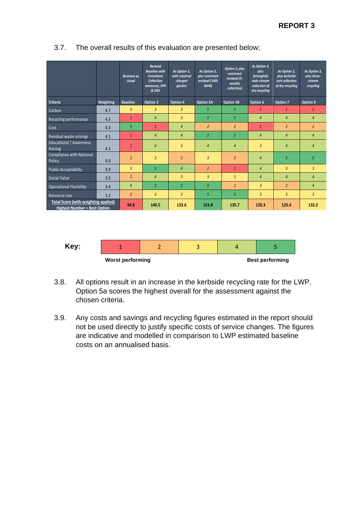|                                                                             |           | <b>Business as</b><br><b>Usual</b> | <b>Revised</b><br><b>Baseline with</b><br>Consistent<br><b>Collection</b><br>measures, EPR<br>& DRS | As Option 3,<br>with retained<br>charged<br>qarden | As Option 3,<br>plus restricted<br>residual (140L<br>WHB) | Option 3, plus<br>restricted<br>residual (3-<br>weekly<br>collection) | As Option 3,<br>plus<br>fortnightly<br>twin stream<br>collection of<br>dry recycling | As Option 3,<br>plus kerbside<br>sort collection<br>of dry recycling | As Option 3,<br>plus three-<br>stream<br>recycling |
|-----------------------------------------------------------------------------|-----------|------------------------------------|-----------------------------------------------------------------------------------------------------|----------------------------------------------------|-----------------------------------------------------------|-----------------------------------------------------------------------|--------------------------------------------------------------------------------------|----------------------------------------------------------------------|----------------------------------------------------|
| Criteria                                                                    | Weighting | <b>Baseline</b>                    | Option 3                                                                                            | Option 4                                           | <b>Option 5A</b>                                          | Option 5B                                                             | Option 6                                                                             | Option 7                                                             | Option 8                                           |
| Carbon                                                                      | 4.7       | 3                                  | $\overline{3}$                                                                                      | $\overline{3}$                                     | 5                                                         | 5                                                                     | $\mathbf{1}$                                                                         | $\mathbf{1}$                                                         | $\mathbf{1}$                                       |
| Recycling performance                                                       | 4.3       | $\mathbf{1}$                       | $\overline{4}$                                                                                      | $\overline{3}$                                     | 5                                                         | 5                                                                     | $\overline{4}$                                                                       | $\overline{4}$                                                       | $\overline{4}$                                     |
| Cost                                                                        | 4.3       | 5                                  | $\mathbf{1}$                                                                                        | $\overline{4}$                                     | $\overline{2}$                                            | $\overline{2}$                                                        | $\mathbf{1}$                                                                         | $\overline{2}$                                                       | $\overline{2}$                                     |
| Residual waste arisings                                                     | 4.1       | $\mathbf{1}$                       | $\overline{4}$                                                                                      | $\overline{4}$                                     | 5                                                         | 5                                                                     | $\overline{4}$                                                                       | $\overline{4}$                                                       | $\overline{4}$                                     |
| Educational / Awareness<br>Raising                                          | 4.1       | $\mathbf{1}$                       | $\overline{4}$                                                                                      | $\overline{3}$                                     | $\overline{4}$                                            | $\overline{4}$                                                        | $\overline{3}$                                                                       | $\overline{4}$                                                       | $\overline{4}$                                     |
| Compliance with National<br>Policy                                          | 4.0       | $\overline{2}$                     | $\overline{3}$                                                                                      | $\overline{2}$                                     | $\overline{3}$                                            | $\overline{2}$                                                        | $\overline{4}$                                                                       | 5                                                                    | 5                                                  |
| <b>Public Acceptability</b>                                                 | 3.9       | $\overline{3}$                     | 5                                                                                                   | $\overline{4}$                                     | $\overline{2}$                                            | $\mathbf{1}$                                                          | $\overline{4}$                                                                       | 3                                                                    | $\overline{3}$                                     |
| Social Value                                                                | 3.5       | $\overline{2}$                     | $\overline{4}$                                                                                      | $\overline{3}$                                     | $\overline{3}$                                            | $\overline{3}$                                                        | $\overline{4}$                                                                       | $\overline{4}$                                                       | $\overline{4}$                                     |
| <b>Operational Flexibility</b>                                              | 3.4       | $\overline{4}$                     | 5                                                                                                   | 5                                                  | 5                                                         | $\overline{2}$                                                        | $\overline{3}$                                                                       | $\overline{2}$                                                       | $\overline{4}$                                     |
| <b>Resource Use</b>                                                         | 3.2       | $\overline{2}$                     | $\overline{3}$                                                                                      | $\overline{3}$                                     | 5                                                         | 5                                                                     | $\overline{3}$                                                                       | $\overline{3}$                                                       | $\overline{3}$                                     |
| Total Score (with weighting applied)<br><b>Highest Number = Best Option</b> |           | 94.8                               | 140.5                                                                                               | 133.6                                              | 153.8                                                     | 135.7                                                                 | 120.3                                                                                | 125.4                                                                | 132.2                                              |

## 3.7. The overall results of this evaluation are presented below;



- 3.8. All options result in an increase in the kerbside recycling rate for the LWP. Option 5a scores the highest overall for the assessment against the chosen criteria.
- 3.9. Any costs and savings and recycling figures estimated in the report should not be used directly to justify specific costs of service changes. The figures are indicative and modelled in comparison to LWP estimated baseline costs on an annualised basis.